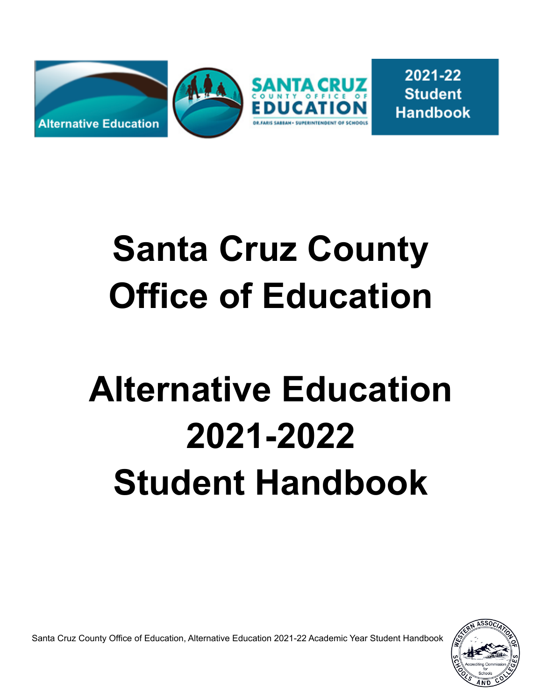

2021-22 **Student Handbook** 

# **Santa Cruz County Office of Education**

# **Alternative Education 2021-2022 Student Handbook**

Santa Cruz County Office of Education, Alternative Education 2021-22 Academic Year Student Handbook

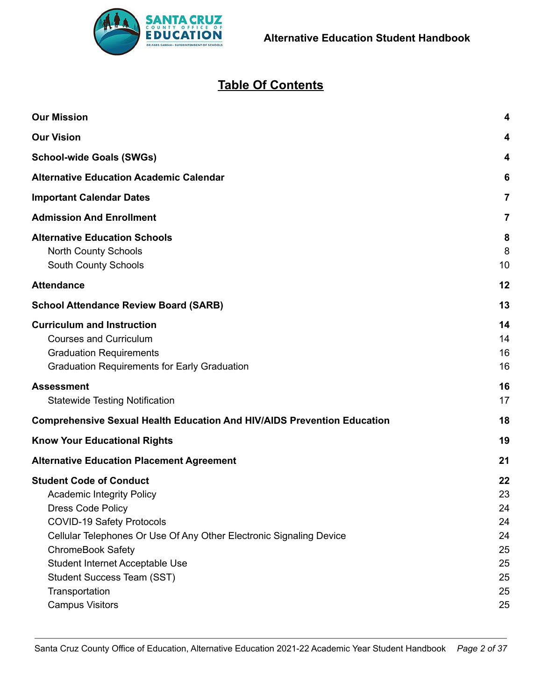

# **Table Of Contents**

| <b>Our Mission</b>                                                                                                                                                                                                                                                                                                                                 | 4                                                        |  |  |  |  |
|----------------------------------------------------------------------------------------------------------------------------------------------------------------------------------------------------------------------------------------------------------------------------------------------------------------------------------------------------|----------------------------------------------------------|--|--|--|--|
| <b>Our Vision</b>                                                                                                                                                                                                                                                                                                                                  | 4                                                        |  |  |  |  |
| <b>School-wide Goals (SWGs)</b>                                                                                                                                                                                                                                                                                                                    |                                                          |  |  |  |  |
| <b>Alternative Education Academic Calendar</b>                                                                                                                                                                                                                                                                                                     |                                                          |  |  |  |  |
| <b>Important Calendar Dates</b>                                                                                                                                                                                                                                                                                                                    | 7                                                        |  |  |  |  |
| <b>Admission And Enrollment</b>                                                                                                                                                                                                                                                                                                                    | 7                                                        |  |  |  |  |
| <b>Alternative Education Schools</b><br><b>North County Schools</b><br>South County Schools                                                                                                                                                                                                                                                        |                                                          |  |  |  |  |
| <b>Attendance</b>                                                                                                                                                                                                                                                                                                                                  | 12                                                       |  |  |  |  |
| <b>School Attendance Review Board (SARB)</b>                                                                                                                                                                                                                                                                                                       | 13                                                       |  |  |  |  |
| <b>Curriculum and Instruction</b><br><b>Courses and Curriculum</b><br><b>Graduation Requirements</b><br><b>Graduation Requirements for Early Graduation</b>                                                                                                                                                                                        | 14<br>14<br>16<br>16                                     |  |  |  |  |
| <b>Assessment</b><br><b>Statewide Testing Notification</b>                                                                                                                                                                                                                                                                                         | 16<br>17                                                 |  |  |  |  |
| <b>Comprehensive Sexual Health Education And HIV/AIDS Prevention Education</b>                                                                                                                                                                                                                                                                     | 18                                                       |  |  |  |  |
| <b>Know Your Educational Rights</b>                                                                                                                                                                                                                                                                                                                | 19                                                       |  |  |  |  |
| <b>Alternative Education Placement Agreement</b>                                                                                                                                                                                                                                                                                                   | 21                                                       |  |  |  |  |
| <b>Student Code of Conduct</b><br><b>Academic Integrity Policy</b><br><b>Dress Code Policy</b><br><b>COVID-19 Safety Protocols</b><br>Cellular Telephones Or Use Of Any Other Electronic Signaling Device<br><b>ChromeBook Safety</b><br>Student Internet Acceptable Use<br>Student Success Team (SST)<br>Transportation<br><b>Campus Visitors</b> | 22<br>23<br>24<br>24<br>24<br>25<br>25<br>25<br>25<br>25 |  |  |  |  |
|                                                                                                                                                                                                                                                                                                                                                    |                                                          |  |  |  |  |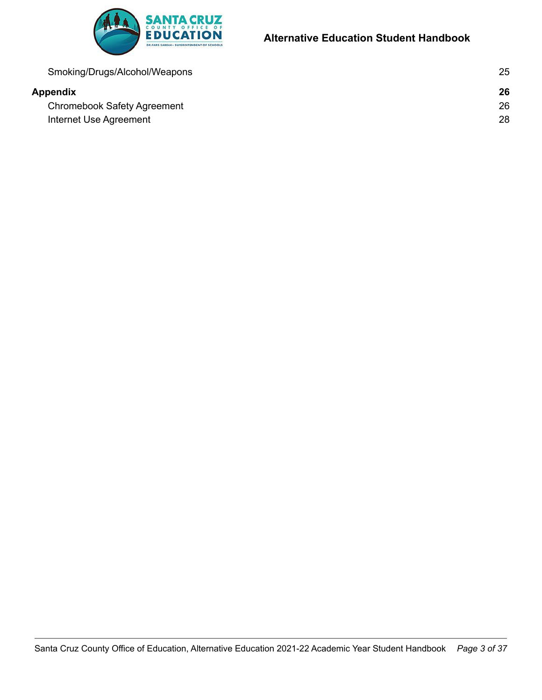

# **Alternative Education Student Handbook**

| Smoking/Drugs/Alcohol/Weapons | 25 |
|-------------------------------|----|
| Appendix                      | 26 |
| Chromebook Safety Agreement   | 26 |
| Internet Use Agreement        | 28 |
|                               |    |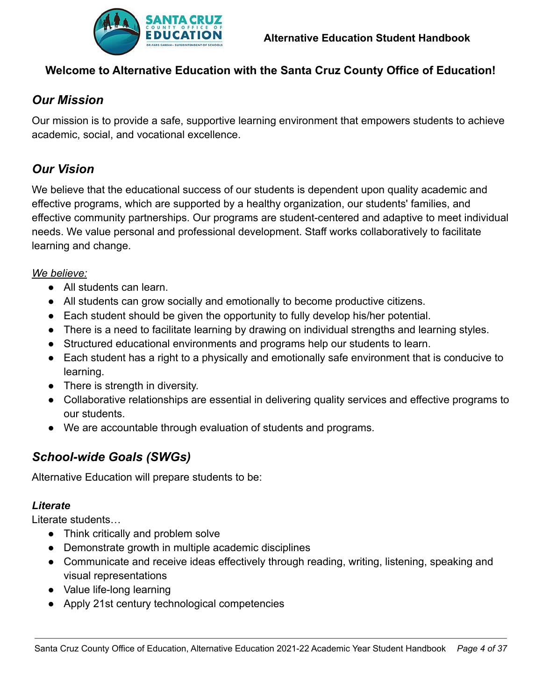

# **Welcome to Alternative Education with the Santa Cruz County Office of Education!**

# <span id="page-3-0"></span>*Our Mission*

Our mission is to provide a safe, supportive learning environment that empowers students to achieve academic, social, and vocational excellence.

# <span id="page-3-1"></span>*Our Vision*

We believe that the educational success of our students is dependent upon quality academic and effective programs, which are supported by a healthy organization, our students' families, and effective community partnerships. Our programs are student-centered and adaptive to meet individual needs. We value personal and professional development. Staff works collaboratively to facilitate learning and change.

#### *We believe:*

- All students can learn.
- All students can grow socially and emotionally to become productive citizens.
- Each student should be given the opportunity to fully develop his/her potential.
- There is a need to facilitate learning by drawing on individual strengths and learning styles.
- Structured educational environments and programs help our students to learn.
- Each student has a right to a physically and emotionally safe environment that is conducive to learning.
- There is strength in diversity.
- Collaborative relationships are essential in delivering quality services and effective programs to our students.
- We are accountable through evaluation of students and programs.

# <span id="page-3-2"></span>*School-wide Goals (SWGs)*

Alternative Education will prepare students to be:

#### *Literate*

Literate students…

- Think critically and problem solve
- Demonstrate growth in multiple academic disciplines
- Communicate and receive ideas effectively through reading, writing, listening, speaking and visual representations
- Value life-long learning
- Apply 21st century technological competencies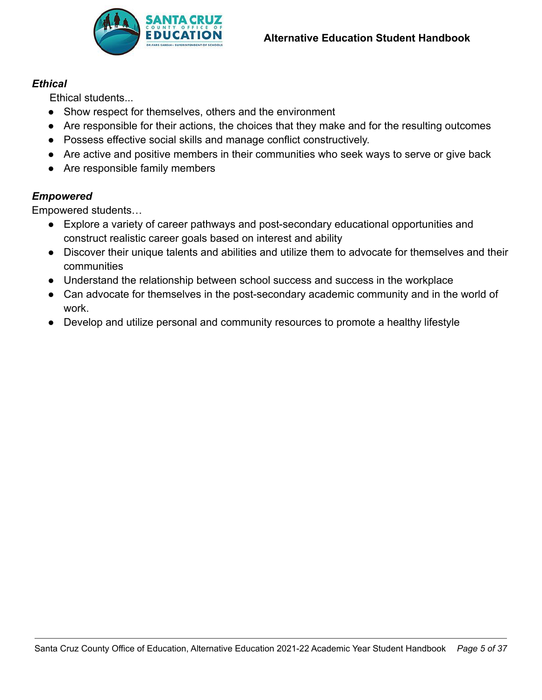

#### *Ethical*

Ethical students...

- Show respect for themselves, others and the environment
- Are responsible for their actions, the choices that they make and for the resulting outcomes
- Possess effective social skills and manage conflict constructively.
- Are active and positive members in their communities who seek ways to serve or give back
- Are responsible family members

## *Empowered*

Empowered students…

- Explore a variety of career pathways and post-secondary educational opportunities and construct realistic career goals based on interest and ability
- Discover their unique talents and abilities and utilize them to advocate for themselves and their communities
- Understand the relationship between school success and success in the workplace
- Can advocate for themselves in the post-secondary academic community and in the world of work.
- Develop and utilize personal and community resources to promote a healthy lifestyle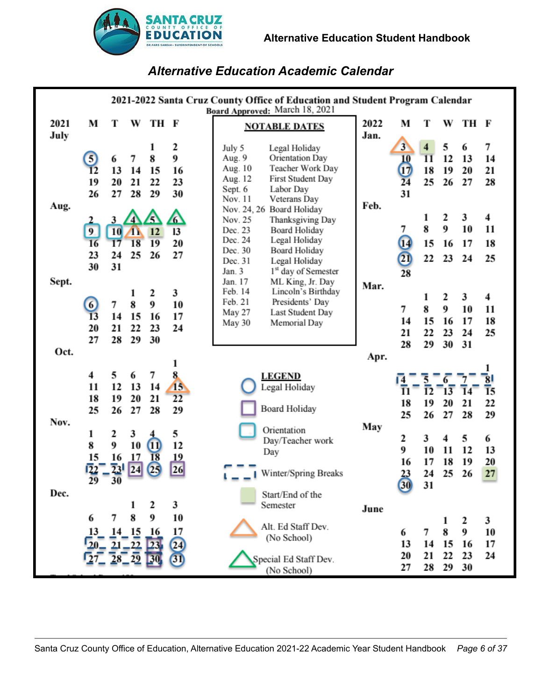

# *Alternative Education Academic Calendar*

<span id="page-5-0"></span>

| 2021-2022 Santa Cruz County Office of Education and Student Program Calendar<br>Board Approved: March 18, 2021 |                                                |                                               |                               |                            |                                   |                                                                                                                                                                                                                                     |      |                                        |                             |                          |                           |                     |
|----------------------------------------------------------------------------------------------------------------|------------------------------------------------|-----------------------------------------------|-------------------------------|----------------------------|-----------------------------------|-------------------------------------------------------------------------------------------------------------------------------------------------------------------------------------------------------------------------------------|------|----------------------------------------|-----------------------------|--------------------------|---------------------------|---------------------|
| 2021                                                                                                           | M                                              | Т                                             | W                             | TH F                       |                                   | <b>NOTABLE DATES</b>                                                                                                                                                                                                                | 2022 | M                                      | Т                           | W                        | TH F                      |                     |
| July                                                                                                           | $\vert 5 \vert$<br>$\overline{12}$<br>19<br>26 | 6<br>13<br>20<br>27                           | 7<br>14<br>21<br>28           | 8<br>15<br>22<br>29        | 2<br>9<br>16<br>23<br>30          | July 5<br>Legal Holiday<br>Orientation Day<br>Aug. 9<br>Teacher Work Day<br>Aug. 10<br>First Student Day<br>Aug. 12<br>Labor Day<br>Sept. 6<br>Nov. 11<br>Veterans Day                                                              | Jan. | 3<br>10<br>$\overline{17}$<br>24<br>31 | $\overline{11}$<br>18<br>25 | 5<br>12<br>19<br>26      | 6<br>13<br>20<br>27       | 7<br>14<br>21<br>28 |
| Aug.                                                                                                           | 9<br>16<br>23<br>30                            | 3<br><b>10</b><br>$\overline{17}$<br>24<br>31 | 43<br>18<br>25                | 5<br>12<br>19<br>26        | 6<br>13<br>20<br>27               | Nov. 24, 26 Board Holiday<br>Nov. 25<br>Thanksgiving Day<br>Dec. 23<br><b>Board Holiday</b><br>Dec. 24<br>Legal Holiday<br>Dec. 30<br><b>Board Holiday</b><br>Dec. 31<br>Legal Holiday<br>1 <sup>st</sup> day of Semester<br>Jan. 3 | Feb. | 7<br>14<br>$\overline{2}$<br>28        | 1<br>8<br>15<br>22          | 2<br>9<br>16<br>23       | 3<br>10<br>17<br>24       | 4<br>11<br>18<br>25 |
| Sept.                                                                                                          | 6<br>13<br>20<br>27                            | 7<br>14<br>21<br>28                           | 8<br>15<br>22<br>29           | 2<br>9<br>16<br>23<br>30   | 3<br>10<br>17<br>24               | ML King, Jr. Day<br>Jan. 17<br>Lincoln's Birthday<br>Feb. 14<br>Feb. 21<br>Presidents' Day<br>Last Student Day<br>May 27<br>Memorial Day<br>May 30                                                                                  | Mar. | 7<br>14<br>21<br>28                    | 1<br>8<br>15<br>22<br>29    | 2<br>9<br>16<br>23<br>30 | 3<br>10<br>17<br>24<br>31 | 4<br>11<br>18<br>25 |
| Oct.                                                                                                           |                                                |                                               |                               |                            | ı                                 |                                                                                                                                                                                                                                     | Apr. |                                        |                             |                          |                           | ı                   |
| Nov.                                                                                                           | $\overline{\mathbf{4}}$<br>11<br>18<br>25      | 5<br>12<br>19<br>26                           | 6<br>13<br>20<br>27           | 7<br>14<br>21<br>28        | 8.<br>15<br>22<br>29              | <b>LEGEND</b><br>Legal Holiday<br><b>Board Holiday</b>                                                                                                                                                                              |      | 11<br>18<br>25                         | 12<br>19<br>26              | 20<br>27                 | 21<br>28                  | 15<br>22<br>29      |
|                                                                                                                | 1<br>8<br>15<br>29                             | 2<br>9<br>16<br>23<br>30                      | 3<br>10<br>17<br>24           | $\bf{u}$<br>18<br>$^{25}$  | 5<br>12<br><u>19</u><br>26        | Orientation<br>Day/Teacher work<br>Day<br>Winter/Spring Breaks                                                                                                                                                                      | May  | 2<br>9<br>16<br>23                     | 3<br>10<br>17<br>24         | 4<br>11<br>18<br>25      | 5<br>12<br>19<br>26       | 6<br>13<br>20<br>27 |
| Dec.                                                                                                           |                                                |                                               |                               | 2                          | 3                                 | Start/End of the<br>Semester                                                                                                                                                                                                        | June | $\overline{30}$                        | 31                          |                          |                           |                     |
|                                                                                                                | 6<br>13<br>-20.                                | 7                                             | 8<br>14 15<br>$21 - 22$<br>29 | 9<br>16<br>23 <sub>1</sub> | 10<br>17<br>$\overline{24}$<br>31 | Alt. Ed Staff Dev.<br>(No School)<br>Special Ed Staff Dev.<br>(No School)                                                                                                                                                           |      | 6<br>13<br>20<br>27                    | 7<br>14<br>21<br>28         | 1<br>8<br>15<br>22<br>29 | 2<br>9<br>16<br>23<br>30  | 3<br>10<br>17<br>24 |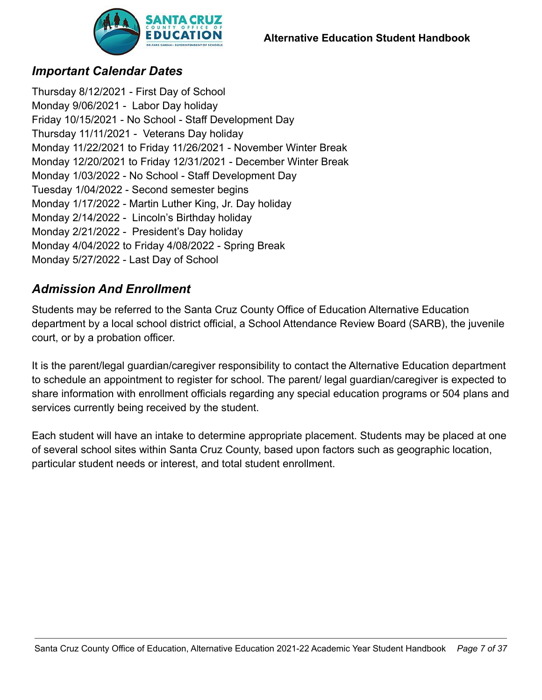

# <span id="page-6-0"></span>*Important Calendar Dates*

Thursday 8/12/2021 - First Day of School Monday 9/06/2021 - Labor Day holiday Friday 10/15/2021 - No School - Staff Development Day Thursday 11/11/2021 - Veterans Day holiday Monday 11/22/2021 to Friday 11/26/2021 - November Winter Break Monday 12/20/2021 to Friday 12/31/2021 - December Winter Break Monday 1/03/2022 - No School - Staff Development Day Tuesday 1/04/2022 - Second semester begins Monday 1/17/2022 - Martin Luther King, Jr. Day holiday Monday 2/14/2022 - Lincoln's Birthday holiday Monday 2/21/2022 - President's Day holiday Monday 4/04/2022 to Friday 4/08/2022 - Spring Break Monday 5/27/2022 - Last Day of School

# <span id="page-6-1"></span>*Admission And Enrollment*

Students may be referred to the Santa Cruz County Office of Education Alternative Education department by a local school district official, a School Attendance Review Board (SARB), the juvenile court, or by a probation officer.

It is the parent/legal guardian/caregiver responsibility to contact the Alternative Education department to schedule an appointment to register for school. The parent/ legal guardian/caregiver is expected to share information with enrollment officials regarding any special education programs or 504 plans and services currently being received by the student.

Each student will have an intake to determine appropriate placement. Students may be placed at one of several school sites within Santa Cruz County, based upon factors such as geographic location, particular student needs or interest, and total student enrollment.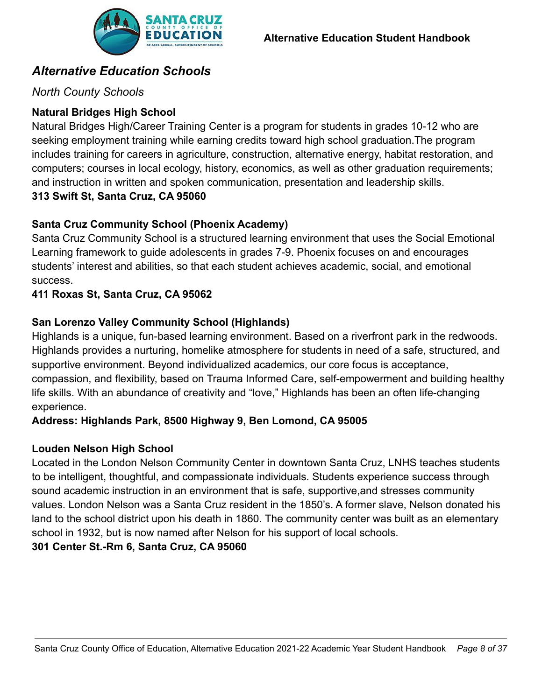

# <span id="page-7-0"></span>*Alternative Education Schools*

# <span id="page-7-1"></span>*North County Schools*

# **Natural Bridges High School**

Natural Bridges High/Career Training Center is a program for students in grades 10-12 who are seeking employment training while earning credits toward high school graduation.The program includes training for careers in agriculture, construction, alternative energy, habitat restoration, and computers; courses in local ecology, history, economics, as well as other graduation requirements; and instruction in written and spoken communication, presentation and leadership skills.

# **313 Swift St, Santa Cruz, CA 95060**

# **Santa Cruz Community School (Phoenix Academy)**

Santa Cruz Community School is a structured learning environment that uses the Social Emotional Learning framework to guide adolescents in grades 7-9. Phoenix focuses on and encourages students' interest and abilities, so that each student achieves academic, social, and emotional success.

# **411 Roxas St, Santa Cruz, CA 95062**

# **San Lorenzo Valley Community School (Highlands)**

Highlands is a unique, fun-based learning environment. Based on a riverfront park in the redwoods. Highlands provides a nurturing, homelike atmosphere for students in need of a safe, structured, and supportive environment. Beyond individualized academics, our core focus is acceptance, compassion, and flexibility, based on Trauma Informed Care, self-empowerment and building healthy life skills. With an abundance of creativity and "love," Highlands has been an often life-changing experience.

# **Address: Highlands Park, 8500 Highway 9, Ben Lomond, CA 95005**

# **Louden Nelson High School**

Located in the London Nelson Community Center in downtown Santa Cruz, LNHS teaches students to be intelligent, thoughtful, and compassionate individuals. Students experience success through sound academic instruction in an environment that is safe, supportive,and stresses community values. London Nelson was a Santa Cruz resident in the 1850's. A former slave, Nelson donated his land to the school district upon his death in 1860. The community center was built as an elementary school in 1932, but is now named after Nelson for his support of local schools.

# **301 Center St.-Rm 6, Santa Cruz, CA 95060**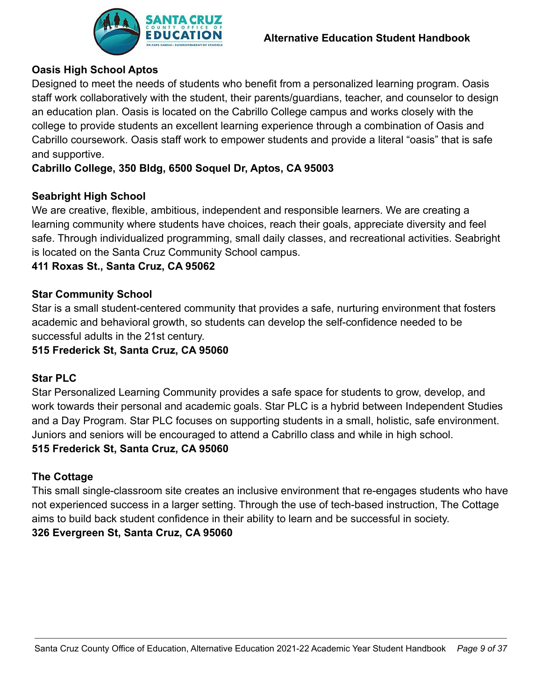

# **Oasis High School Aptos**

Designed to meet the needs of students who benefit from a personalized learning program. Oasis staff work collaboratively with the student, their parents/guardians, teacher, and counselor to design an education plan. Oasis is located on the Cabrillo College campus and works closely with the college to provide students an excellent learning experience through a combination of Oasis and Cabrillo coursework. Oasis staff work to empower students and provide a literal "oasis" that is safe and supportive.

## **Cabrillo College, 350 Bldg, 6500 Soquel Dr, Aptos, CA 95003**

#### **Seabright High School**

We are creative, flexible, ambitious, independent and responsible learners. We are creating a learning community where students have choices, reach their goals, appreciate diversity and feel safe. Through individualized programming, small daily classes, and recreational activities. Seabright is located on the Santa Cruz Community School campus.

#### **411 Roxas St., Santa Cruz, CA 95062**

#### **Star Community School**

Star is a small student-centered community that provides a safe, nurturing environment that fosters academic and behavioral growth, so students can develop the self-confidence needed to be successful adults in the 21st century.

#### **515 Frederick St, Santa Cruz, CA 95060**

#### **Star PLC**

Star Personalized Learning Community provides a safe space for students to grow, develop, and work towards their personal and academic goals. Star PLC is a hybrid between Independent Studies and a Day Program. Star PLC focuses on supporting students in a small, holistic, safe environment. Juniors and seniors will be encouraged to attend a Cabrillo class and while in high school. **515 Frederick St, Santa Cruz, CA 95060**

#### **The Cottage**

This small single-classroom site creates an inclusive environment that re-engages students who have not experienced success in a larger setting. Through the use of tech-based instruction, The Cottage aims to build back student confidence in their ability to learn and be successful in society. **326 Evergreen St, Santa Cruz, CA 95060**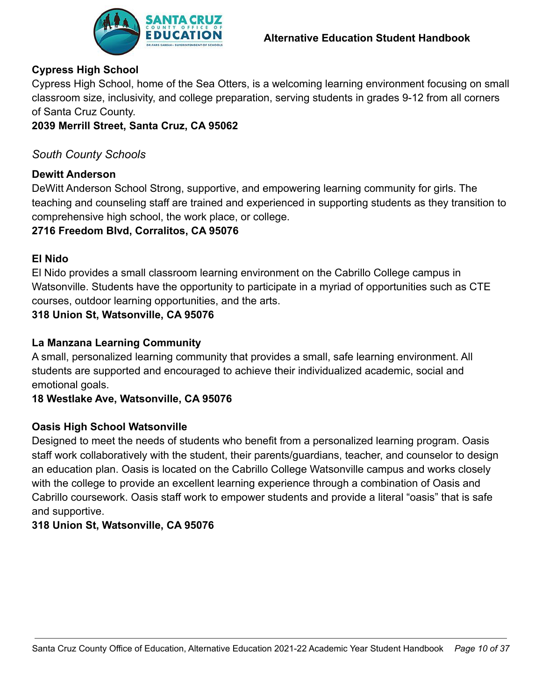

# **Cypress High School**

Cypress High School, home of the Sea Otters, is a welcoming learning environment focusing on small classroom size, inclusivity, and college preparation, serving students in grades 9-12 from all corners of Santa Cruz County.

## **2039 Merrill Street, Santa Cruz, CA 95062**

## <span id="page-9-0"></span>*South County Schools*

#### **Dewitt Anderson**

DeWitt Anderson School Strong, supportive, and empowering learning community for girls. The teaching and counseling staff are trained and experienced in supporting students as they transition to comprehensive high school, the work place, or college.

## **2716 Freedom Blvd, Corralitos, CA 95076**

## **El Nido**

El Nido provides a small classroom learning environment on the Cabrillo College campus in Watsonville. Students have the opportunity to participate in a myriad of opportunities such as CTE courses, outdoor learning opportunities, and the arts.

## **318 Union St, Watsonville, CA 95076**

## **La Manzana Learning Community**

A small, personalized learning community that provides a small, safe learning environment. All students are supported and encouraged to achieve their individualized academic, social and emotional goals.

#### **18 Westlake Ave, Watsonville, CA 95076**

#### **Oasis High School Watsonville**

Designed to meet the needs of students who benefit from a personalized learning program. Oasis staff work collaboratively with the student, their parents/guardians, teacher, and counselor to design an education plan. Oasis is located on the Cabrillo College Watsonville campus and works closely with the college to provide an excellent learning experience through a combination of Oasis and Cabrillo coursework. Oasis staff work to empower students and provide a literal "oasis" that is safe and supportive.

#### **318 Union St, Watsonville, CA 95076**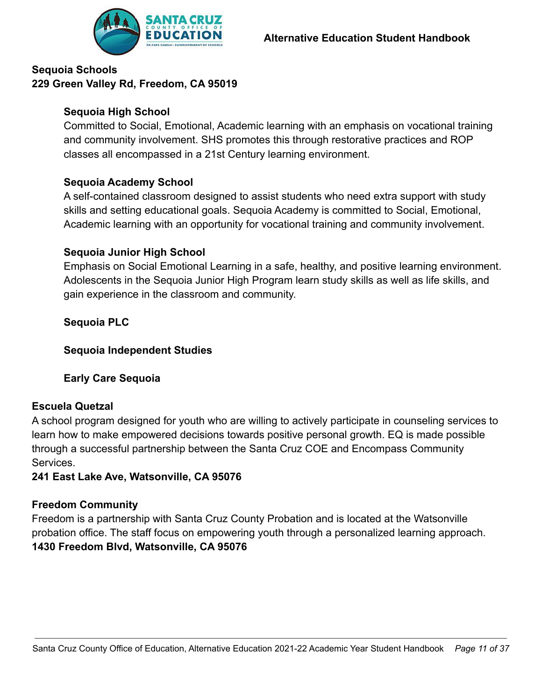## **Sequoia Schools 229 Green Valley Rd, Freedom, CA 95019**

#### **Sequoia High School**

Committed to Social, Emotional, Academic learning with an emphasis on vocational training and community involvement. SHS promotes this through restorative practices and ROP classes all encompassed in a 21st Century learning environment.

## **Sequoia Academy School**

A self-contained classroom designed to assist students who need extra support with study skills and setting educational goals. Sequoia Academy is committed to Social, Emotional, Academic learning with an opportunity for vocational training and community involvement.

#### **Sequoia Junior High School**

Emphasis on Social Emotional Learning in a safe, healthy, and positive learning environment. Adolescents in the Sequoia Junior High Program learn study skills as well as life skills, and gain experience in the classroom and community.

**Sequoia PLC**

#### **Sequoia Independent Studies**

# **Early Care Sequoia**

#### **Escuela Quetzal**

A school program designed for youth who are willing to actively participate in counseling services to learn how to make empowered decisions towards positive personal growth. EQ is made possible through a successful partnership between the Santa Cruz COE and Encompass Community **Services** 

**241 East Lake Ave, Watsonville, CA 95076**

#### **Freedom Community**

Freedom is a partnership with Santa Cruz County Probation and is located at the Watsonville probation office. The staff focus on empowering youth through a personalized learning approach. **1430 Freedom Blvd, Watsonville, CA 95076**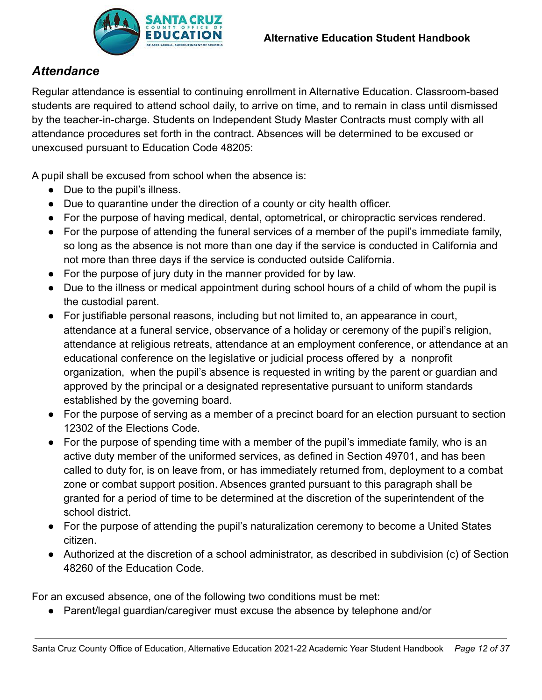

# <span id="page-11-0"></span>*Attendance*

Regular attendance is essential to continuing enrollment in Alternative Education. Classroom-based students are required to attend school daily, to arrive on time, and to remain in class until dismissed by the teacher-in-charge. Students on Independent Study Master Contracts must comply with all attendance procedures set forth in the contract. Absences will be determined to be excused or unexcused pursuant to Education Code 48205:

A pupil shall be excused from school when the absence is:

- Due to the pupil's illness.
- Due to quarantine under the direction of a county or city health officer.
- For the purpose of having medical, dental, optometrical, or chiropractic services rendered.
- For the purpose of attending the funeral services of a member of the pupil's immediate family, so long as the absence is not more than one day if the service is conducted in California and not more than three days if the service is conducted outside California.
- For the purpose of jury duty in the manner provided for by law.
- Due to the illness or medical appointment during school hours of a child of whom the pupil is the custodial parent.
- For justifiable personal reasons, including but not limited to, an appearance in court, attendance at a funeral service, observance of a holiday or ceremony of the pupil's religion, attendance at religious retreats, attendance at an employment conference, or attendance at an educational conference on the legislative or judicial process offered by a nonprofit organization, when the pupil's absence is requested in writing by the parent or guardian and approved by the principal or a designated representative pursuant to uniform standards established by the governing board.
- For the purpose of serving as a member of a precinct board for an election pursuant to section 12302 of the Elections Code.
- For the purpose of spending time with a member of the pupil's immediate family, who is an active duty member of the uniformed services, as defined in Section 49701, and has been called to duty for, is on leave from, or has immediately returned from, deployment to a combat zone or combat support position. Absences granted pursuant to this paragraph shall be granted for a period of time to be determined at the discretion of the superintendent of the school district.
- For the purpose of attending the pupil's naturalization ceremony to become a United States citizen.
- Authorized at the discretion of a school administrator, as described in subdivision (c) of Section 48260 of the Education Code.

For an excused absence, one of the following two conditions must be met:

● Parent/legal guardian/caregiver must excuse the absence by telephone and/or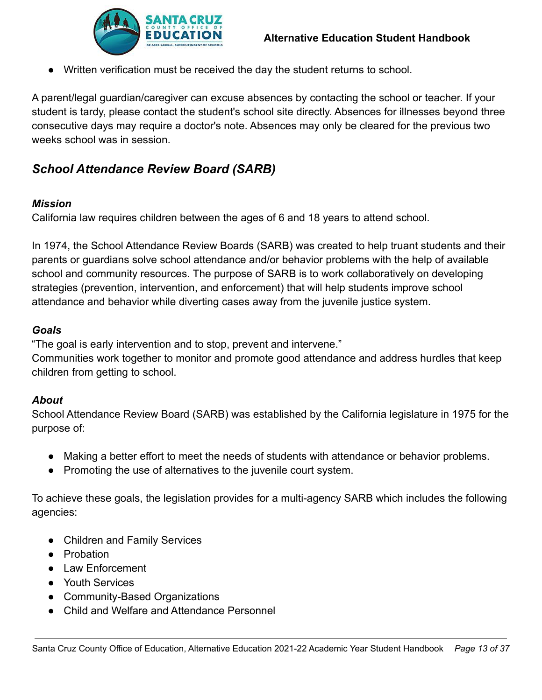

● Written verification must be received the day the student returns to school.

A parent/legal guardian/caregiver can excuse absences by contacting the school or teacher. If your student is tardy, please contact the student's school site directly. Absences for illnesses beyond three consecutive days may require a doctor's note. Absences may only be cleared for the previous two weeks school was in session.

# <span id="page-12-0"></span>*School Attendance Review Board (SARB)*

#### *Mission*

California law requires children between the ages of 6 and 18 years to attend school.

In 1974, the School Attendance Review Boards (SARB) was created to help truant students and their parents or guardians solve school attendance and/or behavior problems with the help of available school and community resources. The purpose of SARB is to work collaboratively on developing strategies (prevention, intervention, and enforcement) that will help students improve school attendance and behavior while diverting cases away from the juvenile justice system.

#### *Goals*

"The goal is early intervention and to stop, prevent and intervene."

Communities work together to monitor and promote good attendance and address hurdles that keep children from getting to school.

#### *About*

School Attendance Review Board (SARB) was established by the California legislature in 1975 for the purpose of:

- Making a better effort to meet the needs of students with attendance or behavior problems.
- Promoting the use of alternatives to the juvenile court system.

To achieve these goals, the legislation provides for a multi-agency SARB which includes the following agencies:

- Children and Family Services
- Probation
- Law Enforcement
- Youth Services
- Community-Based Organizations
- Child and Welfare and Attendance Personnel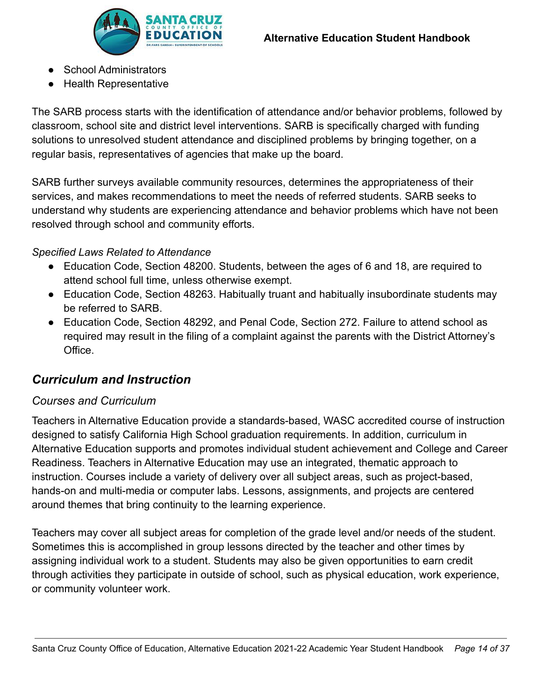

- School Administrators
- Health Representative

The SARB process starts with the identification of attendance and/or behavior problems, followed by classroom, school site and district level interventions. SARB is specifically charged with funding solutions to unresolved student attendance and disciplined problems by bringing together, on a regular basis, representatives of agencies that make up the board.

SARB further surveys available community resources, determines the appropriateness of their services, and makes recommendations to meet the needs of referred students. SARB seeks to understand why students are experiencing attendance and behavior problems which have not been resolved through school and community efforts.

#### *Specified Laws Related to Attendance*

- Education Code, Section 48200. Students, between the ages of 6 and 18, are required to attend school full time, unless otherwise exempt.
- Education Code, Section 48263. Habitually truant and habitually insubordinate students may be referred to SARB.
- Education Code, Section 48292, and Penal Code, Section 272. Failure to attend school as required may result in the filing of a complaint against the parents with the District Attorney's Office.

# <span id="page-13-0"></span>*Curriculum and Instruction*

#### <span id="page-13-1"></span>*Courses and Curriculum*

Teachers in Alternative Education provide a standards-based, WASC accredited course of instruction designed to satisfy California High School graduation requirements. In addition, curriculum in Alternative Education supports and promotes individual student achievement and College and Career Readiness. Teachers in Alternative Education may use an integrated, thematic approach to instruction. Courses include a variety of delivery over all subject areas, such as project-based, hands-on and multi-media or computer labs. Lessons, assignments, and projects are centered around themes that bring continuity to the learning experience.

Teachers may cover all subject areas for completion of the grade level and/or needs of the student. Sometimes this is accomplished in group lessons directed by the teacher and other times by assigning individual work to a student. Students may also be given opportunities to earn credit through activities they participate in outside of school, such as physical education, work experience, or community volunteer work.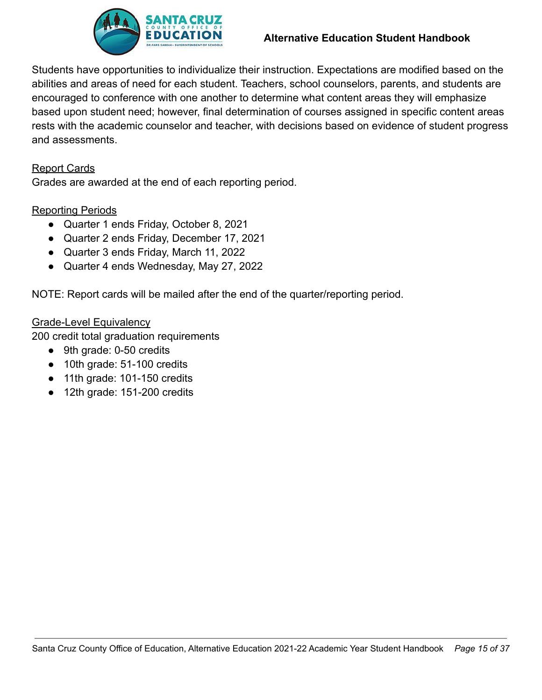

#### **Alternative Education Student Handbook**

Students have opportunities to individualize their instruction. Expectations are modified based on the abilities and areas of need for each student. Teachers, school counselors, parents, and students are encouraged to conference with one another to determine what content areas they will emphasize based upon student need; however, final determination of courses assigned in specific content areas rests with the academic counselor and teacher, with decisions based on evidence of student progress and assessments.

#### Report Cards

Grades are awarded at the end of each reporting period.

#### Reporting Periods

- Quarter 1 ends Friday, October 8, 2021
- Quarter 2 ends Friday, December 17, 2021
- Quarter 3 ends Friday, March 11, 2022
- Quarter 4 ends Wednesday, May 27, 2022

NOTE: Report cards will be mailed after the end of the quarter/reporting period.

#### Grade-Level Equivalency

200 credit total graduation requirements

- 9th grade: 0-50 credits
- 10th grade: 51-100 credits
- 11th grade: 101-150 credits
- 12th grade: 151-200 credits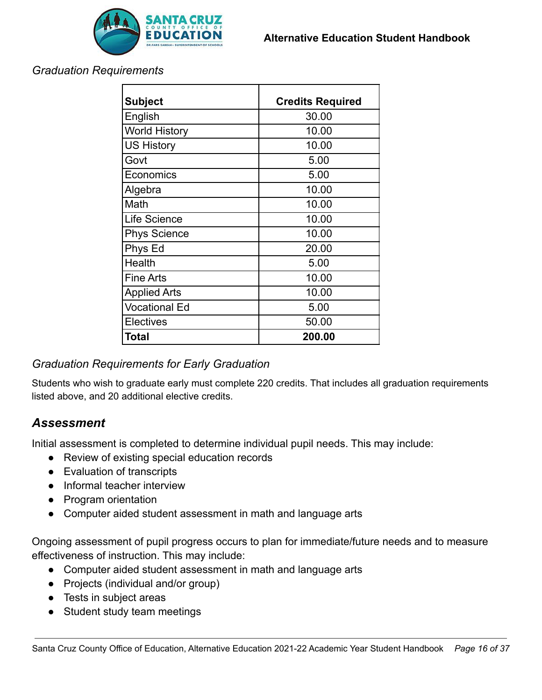

#### <span id="page-15-0"></span>*Graduation Requirements*

| <b>Subject</b>       | <b>Credits Required</b> |  |  |  |  |
|----------------------|-------------------------|--|--|--|--|
| English              | 30.00                   |  |  |  |  |
| <b>World History</b> | 10.00                   |  |  |  |  |
| <b>US History</b>    | 10.00                   |  |  |  |  |
| Govt                 | 5.00                    |  |  |  |  |
| Economics            | 5.00                    |  |  |  |  |
| Algebra              | 10.00                   |  |  |  |  |
| Math                 | 10.00                   |  |  |  |  |
| Life Science         | 10.00                   |  |  |  |  |
| <b>Phys Science</b>  | 10.00                   |  |  |  |  |
| Phys Ed              | 20.00                   |  |  |  |  |
| Health               | 5.00                    |  |  |  |  |
| <b>Fine Arts</b>     | 10.00                   |  |  |  |  |
| <b>Applied Arts</b>  | 10.00                   |  |  |  |  |
| <b>Vocational Ed</b> | 5.00                    |  |  |  |  |
| Electives            | 50.00                   |  |  |  |  |
| <b>Total</b>         | 200.00                  |  |  |  |  |

# <span id="page-15-1"></span>*Graduation Requirements for Early Graduation*

Students who wish to graduate early must complete 220 credits. That includes all graduation requirements listed above, and 20 additional elective credits.

# <span id="page-15-2"></span>*Assessment*

Initial assessment is completed to determine individual pupil needs. This may include:

- Review of existing special education records
- Evaluation of transcripts
- Informal teacher interview
- Program orientation
- Computer aided student assessment in math and language arts

Ongoing assessment of pupil progress occurs to plan for immediate/future needs and to measure effectiveness of instruction. This may include:

- Computer aided student assessment in math and language arts
- Projects (individual and/or group)
- Tests in subject areas
- Student study team meetings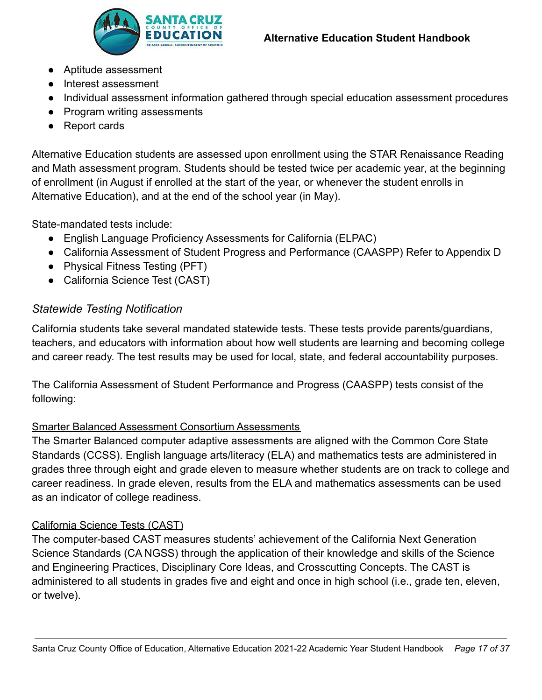



- Aptitude assessment
- Interest assessment
- Individual assessment information gathered through special education assessment procedures
- Program writing assessments
- Report cards

Alternative Education students are assessed upon enrollment using the STAR Renaissance Reading and Math assessment program. Students should be tested twice per academic year, at the beginning of enrollment (in August if enrolled at the start of the year, or whenever the student enrolls in Alternative Education), and at the end of the school year (in May).

State-mandated tests include:

- English Language Proficiency Assessments for California (ELPAC)
- California Assessment of Student Progress and Performance (CAASPP) Refer to Appendix D
- Physical Fitness Testing (PFT)
- California Science Test (CAST)

# <span id="page-16-0"></span>*Statewide Testing Notification*

California students take several mandated statewide tests. These tests provide parents/guardians, teachers, and educators with information about how well students are learning and becoming college and career ready. The test results may be used for local, state, and federal accountability purposes.

The California Assessment of Student Performance and Progress (CAASPP) tests consist of the following:

# Smarter Balanced Assessment Consortium Assessments

The Smarter Balanced computer adaptive assessments are aligned with the Common Core State Standards (CCSS). English language arts/literacy (ELA) and mathematics tests are administered in grades three through eight and grade eleven to measure whether students are on track to college and career readiness. In grade eleven, results from the ELA and mathematics assessments can be used as an indicator of college readiness.

# California Science Tests (CAST)

The computer-based CAST measures students' achievement of the California Next Generation Science Standards (CA NGSS) through the application of their knowledge and skills of the Science and Engineering Practices, Disciplinary Core Ideas, and Crosscutting Concepts. The CAST is administered to all students in grades five and eight and once in high school (i.e., grade ten, eleven, or twelve).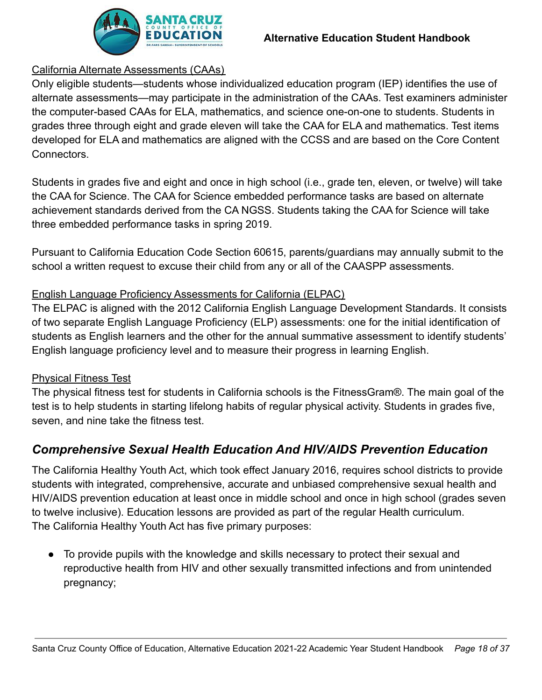

# California Alternate Assessments (CAAs)

Only eligible students—students whose individualized education program (IEP) identifies the use of alternate assessments—may participate in the administration of the CAAs. Test examiners administer the computer-based CAAs for ELA, mathematics, and science one-on-one to students. Students in grades three through eight and grade eleven will take the CAA for ELA and mathematics. Test items developed for ELA and mathematics are aligned with the CCSS and are based on the Core Content Connectors.

Students in grades five and eight and once in high school (i.e., grade ten, eleven, or twelve) will take the CAA for Science. The CAA for Science embedded performance tasks are based on alternate achievement standards derived from the CA NGSS. Students taking the CAA for Science will take three embedded performance tasks in spring 2019.

Pursuant to California Education Code Section 60615, parents/guardians may annually submit to the school a written request to excuse their child from any or all of the CAASPP assessments.

# English Language Proficiency Assessments for California (ELPAC)

The ELPAC is aligned with the 2012 California English Language Development Standards. It consists of two separate English Language Proficiency (ELP) assessments: one for the initial identification of students as English learners and the other for the annual summative assessment to identify students' English language proficiency level and to measure their progress in learning English.

#### Physical Fitness Test

The physical fitness test for students in California schools is the FitnessGram®. The main goal of the test is to help students in starting lifelong habits of regular physical activity. Students in grades five, seven, and nine take the fitness test.

# <span id="page-17-0"></span>*Comprehensive Sexual Health Education And HIV/AIDS Prevention Education*

The California Healthy Youth Act, which took effect January 2016, requires school districts to provide students with integrated, comprehensive, accurate and unbiased comprehensive sexual health and HIV/AIDS prevention education at least once in middle school and once in high school (grades seven to twelve inclusive). Education lessons are provided as part of the regular Health curriculum. The California Healthy Youth Act has five primary purposes:

● To provide pupils with the knowledge and skills necessary to protect their sexual and reproductive health from HIV and other sexually transmitted infections and from unintended pregnancy;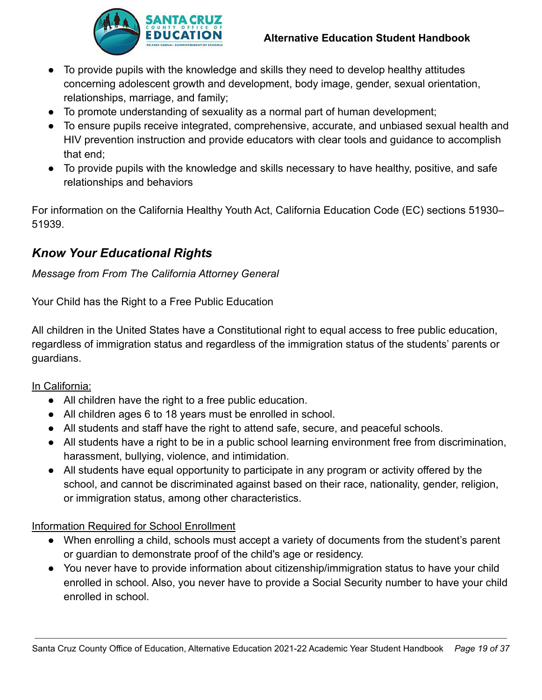

- To provide pupils with the knowledge and skills they need to develop healthy attitudes concerning adolescent growth and development, body image, gender, sexual orientation, relationships, marriage, and family;
- To promote understanding of sexuality as a normal part of human development;
- To ensure pupils receive integrated, comprehensive, accurate, and unbiased sexual health and HIV prevention instruction and provide educators with clear tools and guidance to accomplish that end;
- To provide pupils with the knowledge and skills necessary to have healthy, positive, and safe relationships and behaviors

For information on the California Healthy Youth Act, California Education Code (EC) sections 51930– 51939.

# <span id="page-18-0"></span>*Know Your Educational Rights*

## *Message from From The California Attorney General*

Your Child has the Right to a Free Public Education

All children in the United States have a Constitutional right to equal access to free public education, regardless of immigration status and regardless of the immigration status of the students' parents or guardians.

#### In California:

- All children have the right to a free public education.
- All children ages 6 to 18 years must be enrolled in school.
- All students and staff have the right to attend safe, secure, and peaceful schools.
- All students have a right to be in a public school learning environment free from discrimination, harassment, bullying, violence, and intimidation.
- All students have equal opportunity to participate in any program or activity offered by the school, and cannot be discriminated against based on their race, nationality, gender, religion, or immigration status, among other characteristics.

#### Information Required for School Enrollment

- When enrolling a child, schools must accept a variety of documents from the student's parent or guardian to demonstrate proof of the child's age or residency.
- You never have to provide information about citizenship/immigration status to have your child enrolled in school. Also, you never have to provide a Social Security number to have your child enrolled in school.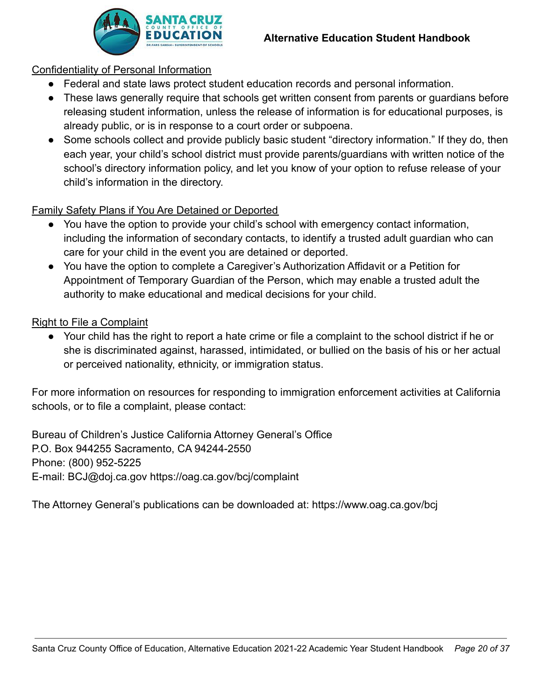

#### Confidentiality of Personal Information

- Federal and state laws protect student education records and personal information.
- These laws generally require that schools get written consent from parents or guardians before releasing student information, unless the release of information is for educational purposes, is already public, or is in response to a court order or subpoena.
- Some schools collect and provide publicly basic student "directory information." If they do, then each year, your child's school district must provide parents/guardians with written notice of the school's directory information policy, and let you know of your option to refuse release of your child's information in the directory.

## Family Safety Plans if You Are Detained or Deported

- You have the option to provide your child's school with emergency contact information, including the information of secondary contacts, to identify a trusted adult guardian who can care for your child in the event you are detained or deported.
- You have the option to complete a Caregiver's Authorization Affidavit or a Petition for Appointment of Temporary Guardian of the Person, which may enable a trusted adult the authority to make educational and medical decisions for your child.

## Right to File a Complaint

● Your child has the right to report a hate crime or file a complaint to the school district if he or she is discriminated against, harassed, intimidated, or bullied on the basis of his or her actual or perceived nationality, ethnicity, or immigration status.

For more information on resources for responding to immigration enforcement activities at California schools, or to file a complaint, please contact:

Bureau of Children's Justice California Attorney General's Office P.O. Box 944255 Sacramento, CA 94244-2550 Phone: (800) 952-5225 E-mail: BCJ@doj.ca.gov https://oag.ca.gov/bcj/complaint

The Attorney General's publications can be downloaded at: https://www.oag.ca.gov/bcj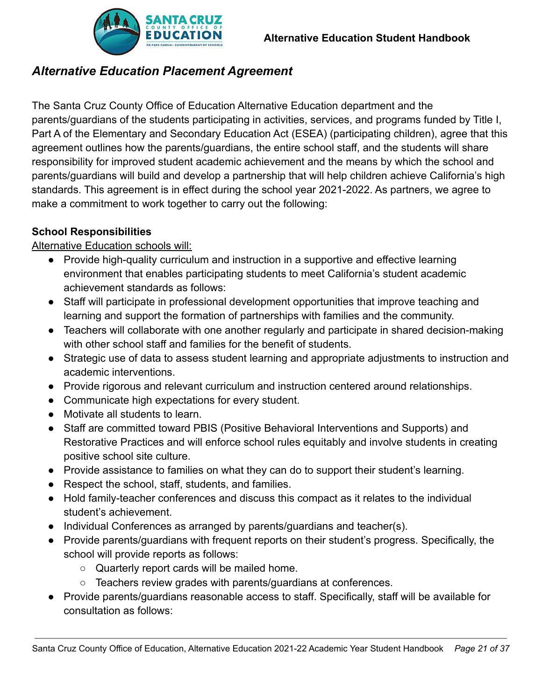

# <span id="page-20-0"></span>*Alternative Education Placement Agreement*

The Santa Cruz County Office of Education Alternative Education department and the parents/guardians of the students participating in activities, services, and programs funded by Title I, Part A of the Elementary and Secondary Education Act (ESEA) (participating children), agree that this agreement outlines how the parents/guardians, the entire school staff, and the students will share responsibility for improved student academic achievement and the means by which the school and parents/guardians will build and develop a partnership that will help children achieve California's high standards. This agreement is in effect during the school year 2021-2022. As partners, we agree to make a commitment to work together to carry out the following:

# **School Responsibilities**

## Alternative Education schools will:

- Provide high-quality curriculum and instruction in a supportive and effective learning environment that enables participating students to meet California's student academic achievement standards as follows:
- Staff will participate in professional development opportunities that improve teaching and learning and support the formation of partnerships with families and the community.
- Teachers will collaborate with one another regularly and participate in shared decision-making with other school staff and families for the benefit of students.
- Strategic use of data to assess student learning and appropriate adjustments to instruction and academic interventions.
- Provide rigorous and relevant curriculum and instruction centered around relationships.
- Communicate high expectations for every student.
- Motivate all students to learn.
- Staff are committed toward PBIS (Positive Behavioral Interventions and Supports) and Restorative Practices and will enforce school rules equitably and involve students in creating positive school site culture.
- Provide assistance to families on what they can do to support their student's learning.
- Respect the school, staff, students, and families.
- Hold family-teacher conferences and discuss this compact as it relates to the individual student's achievement.
- Individual Conferences as arranged by parents/guardians and teacher(s).
- Provide parents/guardians with frequent reports on their student's progress. Specifically, the school will provide reports as follows:
	- Quarterly report cards will be mailed home.
	- Teachers review grades with parents/guardians at conferences.
- Provide parents/guardians reasonable access to staff. Specifically, staff will be available for consultation as follows: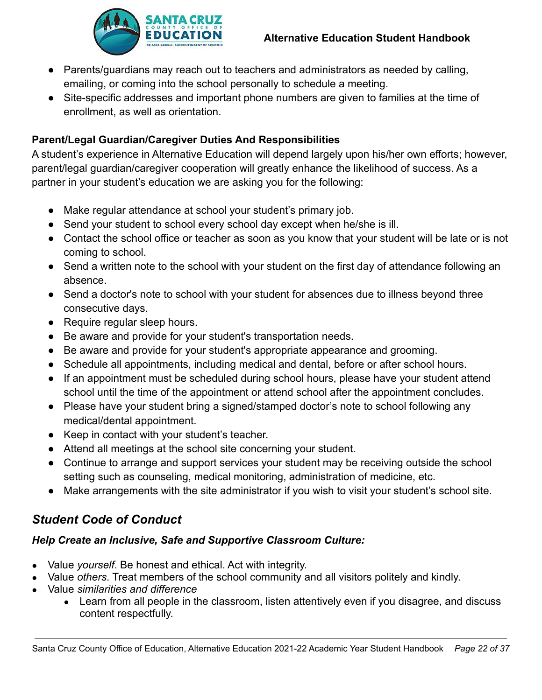

- Parents/guardians may reach out to teachers and administrators as needed by calling, emailing, or coming into the school personally to schedule a meeting.
- Site-specific addresses and important phone numbers are given to families at the time of enrollment, as well as orientation.

# **Parent/Legal Guardian/Caregiver Duties And Responsibilities**

A student's experience in Alternative Education will depend largely upon his/her own efforts; however, parent/legal guardian/caregiver cooperation will greatly enhance the likelihood of success. As a partner in your student's education we are asking you for the following:

- Make regular attendance at school your student's primary job.
- Send your student to school every school day except when he/she is ill.
- Contact the school office or teacher as soon as you know that your student will be late or is not coming to school.
- Send a written note to the school with your student on the first day of attendance following an absence.
- Send a doctor's note to school with your student for absences due to illness beyond three consecutive days.
- Require regular sleep hours.
- Be aware and provide for your student's transportation needs.
- Be aware and provide for your student's appropriate appearance and grooming.
- Schedule all appointments, including medical and dental, before or after school hours.
- If an appointment must be scheduled during school hours, please have your student attend school until the time of the appointment or attend school after the appointment concludes.
- Please have your student bring a signed/stamped doctor's note to school following any medical/dental appointment.
- Keep in contact with your student's teacher.
- Attend all meetings at the school site concerning your student.
- Continue to arrange and support services your student may be receiving outside the school setting such as counseling, medical monitoring, administration of medicine, etc.
- Make arrangements with the site administrator if you wish to visit your student's school site.

# <span id="page-21-0"></span>*Student Code of Conduct*

#### *Help Create an Inclusive, Safe and Supportive Classroom Culture:*

- Value *yourself*. Be honest and ethical. Act with integrity.
- Value *others*. Treat members of the school community and all visitors politely and kindly.
- Value *similarities and difference*
	- Learn from all people in the classroom, listen attentively even if you disagree, and discuss content respectfully.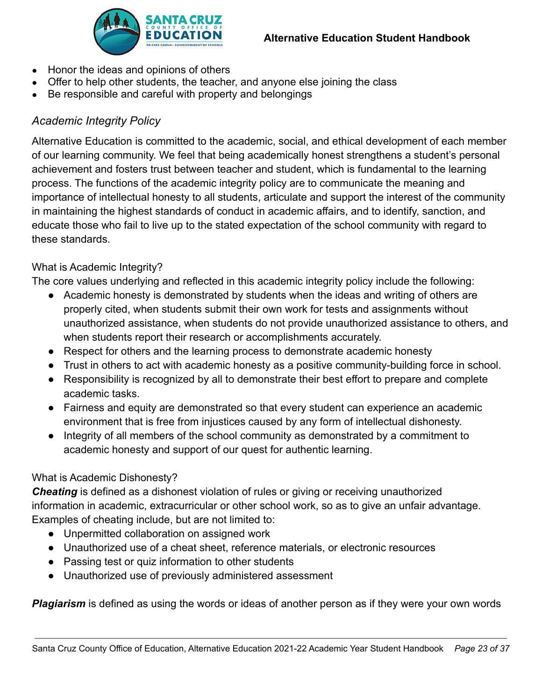

- Honor the ideas and opinions of others
- Offer to help other students, the teacher, and anyone else joining the class
- Be responsible and careful with property and belongings

# <span id="page-22-0"></span>*Academic Integrity Policy*

Alternative Education is committed to the academic, social, and ethical development of each member of our learning community. We feel that being academically honest strengthens a student's personal achievement and fosters trust between teacher and student, which is fundamental to the learning process. The functions of the academic integrity policy are to communicate the meaning and importance of intellectual honesty to all students, articulate and support the interest of the community in maintaining the highest standards of conduct in academic affairs, and to identify, sanction, and educate those who fail to live up to the stated expectation of the school community with regard to these standards.

## What is Academic Integrity?

The core values underlying and reflected in this academic integrity policy include the following:

- Academic honesty is demonstrated by students when the ideas and writing of others are properly cited, when students submit their own work for tests and assignments without unauthorized assistance, when students do not provide unauthorized assistance to others, and when students report their research or accomplishments accurately.
- Respect for others and the learning process to demonstrate academic honesty
- Trust in others to act with academic honesty as a positive community-building force in school.
- Responsibility is recognized by all to demonstrate their best effort to prepare and complete academic tasks.
- Fairness and equity are demonstrated so that every student can experience an academic environment that is free from injustices caused by any form of intellectual dishonesty.
- Integrity of all members of the school community as demonstrated by a commitment to academic honesty and support of our quest for authentic learning.

# What is Academic Dishonesty?

*Cheating* is defined as a dishonest violation of rules or giving or receiving unauthorized information in academic, extracurricular or other school work, so as to give an unfair advantage. Examples of cheating include, but are not limited to:

- Unpermitted collaboration on assigned work
- Unauthorized use of a cheat sheet, reference materials, or electronic resources
- Passing test or quiz information to other students
- Unauthorized use of previously administered assessment

*Plagiarism* is defined as using the words or ideas of another person as if they were your own words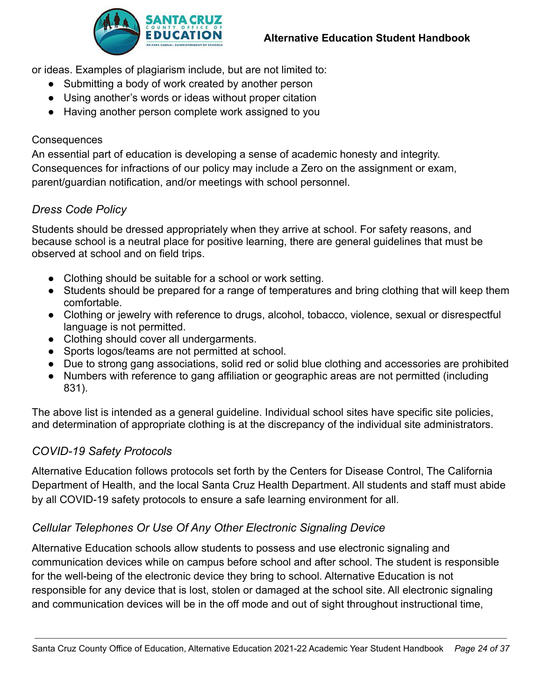

or ideas. Examples of plagiarism include, but are not limited to:

- Submitting a body of work created by another person
- Using another's words or ideas without proper citation
- Having another person complete work assigned to you

#### **Consequences**

An essential part of education is developing a sense of academic honesty and integrity. Consequences for infractions of our policy may include a Zero on the assignment or exam, parent/guardian notification, and/or meetings with school personnel.

#### <span id="page-23-0"></span>*Dress Code Policy*

Students should be dressed appropriately when they arrive at school. For safety reasons, and because school is a neutral place for positive learning, there are general guidelines that must be observed at school and on field trips.

- Clothing should be suitable for a school or work setting.
- Students should be prepared for a range of temperatures and bring clothing that will keep them comfortable.
- Clothing or jewelry with reference to drugs, alcohol, tobacco, violence, sexual or disrespectful language is not permitted.
- Clothing should cover all undergarments.
- Sports logos/teams are not permitted at school.
- Due to strong gang associations, solid red or solid blue clothing and accessories are prohibited
- Numbers with reference to gang affiliation or geographic areas are not permitted (including 831).

The above list is intended as a general guideline. Individual school sites have specific site policies, and determination of appropriate clothing is at the discrepancy of the individual site administrators.

# <span id="page-23-1"></span>*COVID-19 Safety Protocols*

Alternative Education follows protocols set forth by the Centers for Disease Control, The California Department of Health, and the local Santa Cruz Health Department. All students and staff must abide by all COVID-19 safety protocols to ensure a safe learning environment for all.

# <span id="page-23-2"></span>*Cellular Telephones Or Use Of Any Other Electronic Signaling Device*

Alternative Education schools allow students to possess and use electronic signaling and communication devices while on campus before school and after school. The student is responsible for the well-being of the electronic device they bring to school. Alternative Education is not responsible for any device that is lost, stolen or damaged at the school site. All electronic signaling and communication devices will be in the off mode and out of sight throughout instructional time,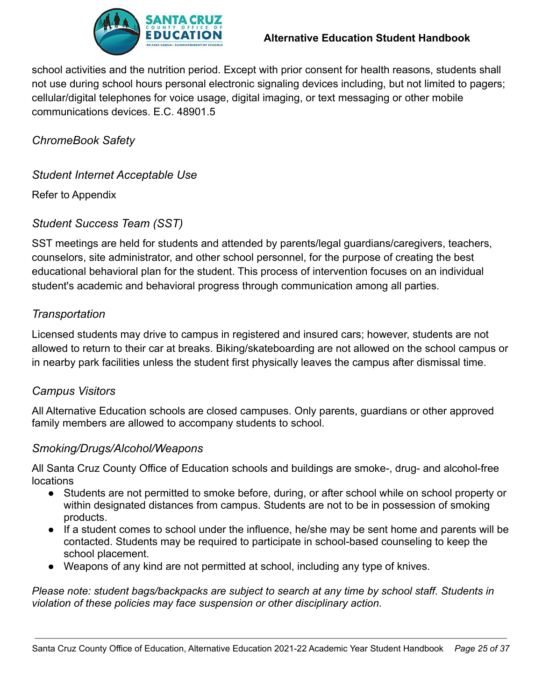

#### **Alternative Education Student Handbook**

school activities and the nutrition period. Except with prior consent for health reasons, students shall not use during school hours personal electronic signaling devices including, but not limited to pagers; cellular/digital telephones for voice usage, digital imaging, or text messaging or other mobile communications devices. E.C. 48901.5

<span id="page-24-0"></span>*ChromeBook Safety*

<span id="page-24-1"></span>*Student Internet Acceptable Use*

Refer to Appendix

# <span id="page-24-2"></span>*Student Success Team (SST)*

SST meetings are held for students and attended by parents/legal guardians/caregivers, teachers, counselors, site administrator, and other school personnel, for the purpose of creating the best educational behavioral plan for the student. This process of intervention focuses on an individual student's academic and behavioral progress through communication among all parties.

# <span id="page-24-3"></span>*Transportation*

Licensed students may drive to campus in registered and insured cars; however, students are not allowed to return to their car at breaks. Biking/skateboarding are not allowed on the school campus or in nearby park facilities unless the student first physically leaves the campus after dismissal time.

# <span id="page-24-4"></span>*Campus Visitors*

All Alternative Education schools are closed campuses. Only parents, guardians or other approved family members are allowed to accompany students to school.

#### <span id="page-24-5"></span>*Smoking/Drugs/Alcohol/Weapons*

All Santa Cruz County Office of Education schools and buildings are smoke-, drug- and alcohol-free locations

- Students are not permitted to smoke before, during, or after school while on school property or within designated distances from campus. Students are not to be in possession of smoking products.
- If a student comes to school under the influence, he/she may be sent home and parents will be contacted. Students may be required to participate in school-based counseling to keep the school placement.
- Weapons of any kind are not permitted at school, including any type of knives.

*Please note: student bags/backpacks are subject to search at any time by school staff. Students in violation of these policies may face suspension or other disciplinary action.*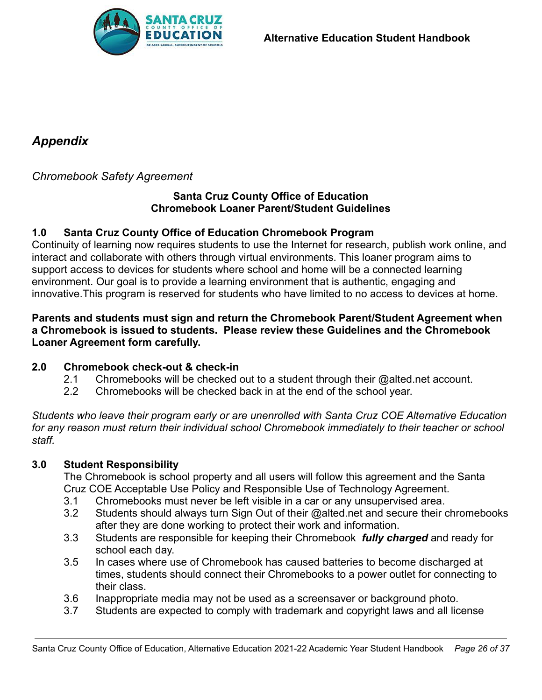

# <span id="page-25-0"></span>*Appendix*

## <span id="page-25-1"></span>*Chromebook Safety Agreement*

#### **Santa Cruz County Office of Education Chromebook Loaner Parent/Student Guidelines**

#### **1.0 Santa Cruz County Office of Education Chromebook Program**

Continuity of learning now requires students to use the Internet for research, publish work online, and interact and collaborate with others through virtual environments. This loaner program aims to support access to devices for students where school and home will be a connected learning environment. Our goal is to provide a learning environment that is authentic, engaging and innovative.This program is reserved for students who have limited to no access to devices at home.

#### **Parents and students must sign and return the Chromebook Parent/Student Agreement when a Chromebook is issued to students. Please review these Guidelines and the Chromebook Loaner Agreement form carefully.**

#### **2.0 Chromebook check-out & check-in**

- 2.1 Chromebooks will be checked out to a student through their @alted.net account.
- 2.2 Chromebooks will be checked back in at the end of the school year.

*Students who leave their program early or are unenrolled with Santa Cruz COE Alternative Education for any reason must return their individual school Chromebook immediately to their teacher or school staff.*

#### **3.0 Student Responsibility**

The Chromebook is school property and all users will follow this agreement and the Santa Cruz COE Acceptable Use Policy and Responsible Use of Technology Agreement.

- 3.1 Chromebooks must never be left visible in a car or any unsupervised area.
- 3.2 Students should always turn Sign Out of their @alted.net and secure their chromebooks after they are done working to protect their work and information.
- 3.3 Students are responsible for keeping their Chromebook *fully charged* and ready for school each day.
- 3.5 In cases where use of Chromebook has caused batteries to become discharged at times, students should connect their Chromebooks to a power outlet for connecting to their class.
- 3.6 Inappropriate media may not be used as a screensaver or background photo.
- 3.7 Students are expected to comply with trademark and copyright laws and all license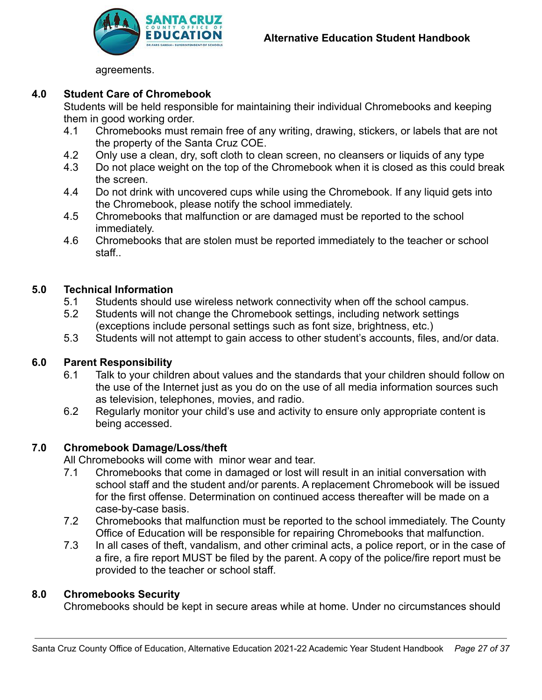

agreements.

#### **4.0 Student Care of Chromebook**

Students will be held responsible for maintaining their individual Chromebooks and keeping them in good working order.

- 4.1 Chromebooks must remain free of any writing, drawing, stickers, or labels that are not the property of the Santa Cruz COE.
- 4.2 Only use a clean, dry, soft cloth to clean screen, no cleansers or liquids of any type
- 4.3 Do not place weight on the top of the Chromebook when it is closed as this could break the screen.
- 4.4 Do not drink with uncovered cups while using the Chromebook. If any liquid gets into the Chromebook, please notify the school immediately.
- 4.5 Chromebooks that malfunction or are damaged must be reported to the school immediately.
- 4.6 Chromebooks that are stolen must be reported immediately to the teacher or school staff..

#### **5.0 Technical Information**

- 5.1 Students should use wireless network connectivity when off the school campus.
- 5.2 Students will not change the Chromebook settings, including network settings (exceptions include personal settings such as font size, brightness, etc.)
- 5.3 Students will not attempt to gain access to other student's accounts, files, and/or data.

#### **6.0 Parent Responsibility**

- 6.1 Talk to your children about values and the standards that your children should follow on the use of the Internet just as you do on the use of all media information sources such as television, telephones, movies, and radio.
- 6.2 Regularly monitor your child's use and activity to ensure only appropriate content is being accessed.

#### **7.0 Chromebook Damage/Loss/theft**

All Chromebooks will come with minor wear and tear.

- 7.1 Chromebooks that come in damaged or lost will result in an initial conversation with school staff and the student and/or parents. A replacement Chromebook will be issued for the first offense. Determination on continued access thereafter will be made on a case-by-case basis.
- 7.2 Chromebooks that malfunction must be reported to the school immediately. The County Office of Education will be responsible for repairing Chromebooks that malfunction.
- 7.3 In all cases of theft, vandalism, and other criminal acts, a police report, or in the case of a fire, a fire report MUST be filed by the parent. A copy of the police/fire report must be provided to the teacher or school staff.

#### **8.0 Chromebooks Security**

Chromebooks should be kept in secure areas while at home. Under no circumstances should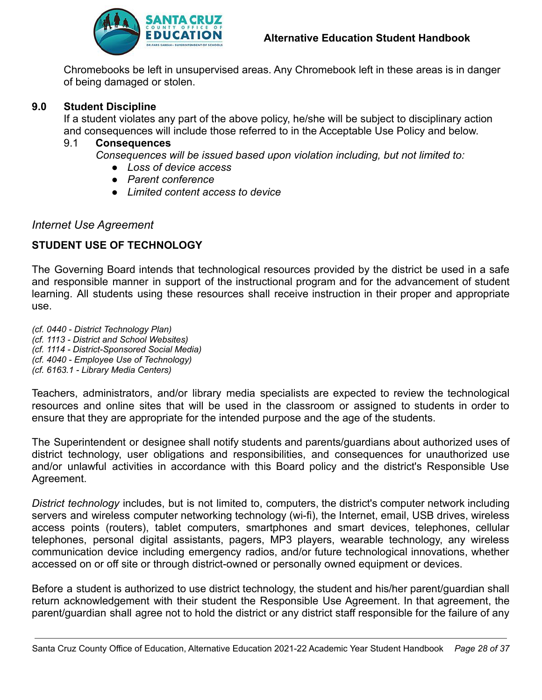

Chromebooks be left in unsupervised areas. Any Chromebook left in these areas is in danger of being damaged or stolen.

#### **9.0 Student Discipline**

If a student violates any part of the above policy, he/she will be subject to disciplinary action and consequences will include those referred to in the Acceptable Use Policy and below.

#### 9.1 **Consequences**

*Consequences will be issued based upon violation including, but not limited to:*

- *● Loss of device access*
- *● Parent conference*
- *● Limited content access to device*

#### <span id="page-27-0"></span>*Internet Use Agreement*

#### **STUDENT USE OF TECHNOLOGY**

The Governing Board intends that technological resources provided by the district be used in a safe and responsible manner in support of the instructional program and for the advancement of student learning. All students using these resources shall receive instruction in their proper and appropriate use.

*(cf. 0440 - District Technology Plan) (cf. 1113 - District and School Websites) (cf. 1114 - District-Sponsored Social Media) (cf. 4040 - Employee Use of Technology) (cf. 6163.1 - Library Media Centers)*

Teachers, administrators, and/or library media specialists are expected to review the technological resources and online sites that will be used in the classroom or assigned to students in order to ensure that they are appropriate for the intended purpose and the age of the students.

The Superintendent or designee shall notify students and parents/guardians about authorized uses of district technology, user obligations and responsibilities, and consequences for unauthorized use and/or unlawful activities in accordance with this Board policy and the district's Responsible Use Agreement.

*District technology* includes, but is not limited to, computers, the district's computer network including servers and wireless computer networking technology (wi-fi), the Internet, email, USB drives, wireless access points (routers), tablet computers, smartphones and smart devices, telephones, cellular telephones, personal digital assistants, pagers, MP3 players, wearable technology, any wireless communication device including emergency radios, and/or future technological innovations, whether accessed on or off site or through district-owned or personally owned equipment or devices.

Before a student is authorized to use district technology, the student and his/her parent/guardian shall return acknowledgement with their student the Responsible Use Agreement. In that agreement, the parent/guardian shall agree not to hold the district or any district staff responsible for the failure of any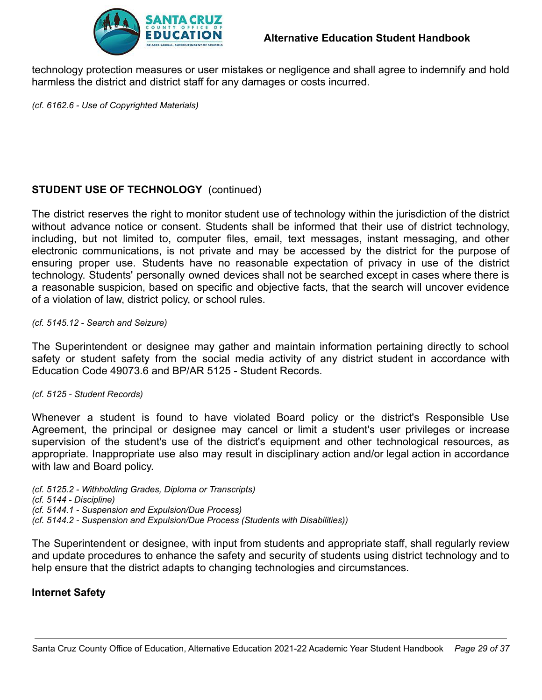

technology protection measures or user mistakes or negligence and shall agree to indemnify and hold harmless the district and district staff for any damages or costs incurred.

*(cf. 6162.6 - Use of Copyrighted Materials)*

#### **STUDENT USE OF TECHNOLOGY** (continued)

The district reserves the right to monitor student use of technology within the jurisdiction of the district without advance notice or consent. Students shall be informed that their use of district technology, including, but not limited to, computer files, email, text messages, instant messaging, and other electronic communications, is not private and may be accessed by the district for the purpose of ensuring proper use. Students have no reasonable expectation of privacy in use of the district technology. Students' personally owned devices shall not be searched except in cases where there is a reasonable suspicion, based on specific and objective facts, that the search will uncover evidence of a violation of law, district policy, or school rules.

#### *(cf. 5145.12 - Search and Seizure)*

The Superintendent or designee may gather and maintain information pertaining directly to school safety or student safety from the social media activity of any district student in accordance with Education Code 49073.6 and BP/AR 5125 - Student Records.

#### *(cf. 5125 - Student Records)*

Whenever a student is found to have violated Board policy or the district's Responsible Use Agreement, the principal or designee may cancel or limit a student's user privileges or increase supervision of the student's use of the district's equipment and other technological resources, as appropriate. Inappropriate use also may result in disciplinary action and/or legal action in accordance with law and Board policy.

*(cf. 5125.2 - Withholding Grades, Diploma or Transcripts) (cf. 5144 - Discipline) (cf. 5144.1 - Suspension and Expulsion/Due Process) (cf. 5144.2 - Suspension and Expulsion/Due Process (Students with Disabilities))*

The Superintendent or designee, with input from students and appropriate staff, shall regularly review and update procedures to enhance the safety and security of students using district technology and to help ensure that the district adapts to changing technologies and circumstances.

#### **Internet Safety**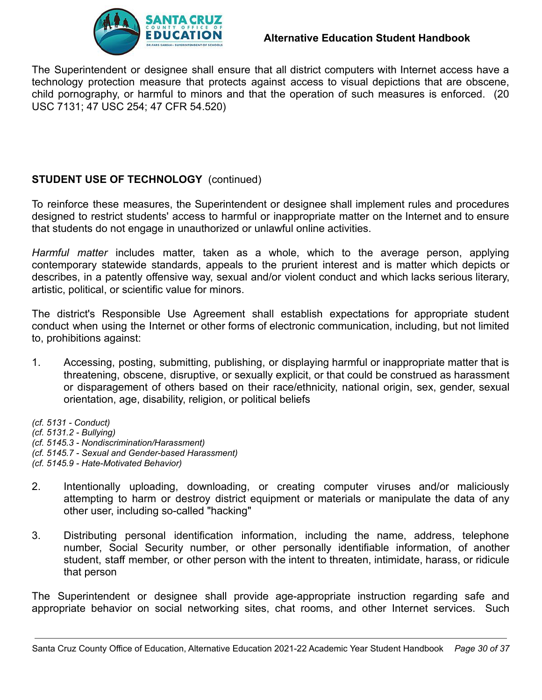

The Superintendent or designee shall ensure that all district computers with Internet access have a technology protection measure that protects against access to visual depictions that are obscene, child pornography, or harmful to minors and that the operation of such measures is enforced. (20 USC 7131; 47 USC 254; 47 CFR 54.520)

# **STUDENT USE OF TECHNOLOGY** (continued)

To reinforce these measures, the Superintendent or designee shall implement rules and procedures designed to restrict students' access to harmful or inappropriate matter on the Internet and to ensure that students do not engage in unauthorized or unlawful online activities.

*Harmful matter* includes matter, taken as a whole, which to the average person, applying contemporary statewide standards, appeals to the prurient interest and is matter which depicts or describes, in a patently offensive way, sexual and/or violent conduct and which lacks serious literary, artistic, political, or scientific value for minors.

The district's Responsible Use Agreement shall establish expectations for appropriate student conduct when using the Internet or other forms of electronic communication, including, but not limited to, prohibitions against:

1. Accessing, posting, submitting, publishing, or displaying harmful or inappropriate matter that is threatening, obscene, disruptive, or sexually explicit, or that could be construed as harassment or disparagement of others based on their race/ethnicity, national origin, sex, gender, sexual orientation, age, disability, religion, or political beliefs

*(cf. 5131 - Conduct)*

*(cf. 5131.2 - Bullying)*

*(cf. 5145.3 - Nondiscrimination/Harassment)*

*(cf. 5145.7 - Sexual and Gender-based Harassment)*

*(cf. 5145.9 - Hate-Motivated Behavior)*

- 2. Intentionally uploading, downloading, or creating computer viruses and/or maliciously attempting to harm or destroy district equipment or materials or manipulate the data of any other user, including so-called "hacking"
- 3. Distributing personal identification information, including the name, address, telephone number, Social Security number, or other personally identifiable information, of another student, staff member, or other person with the intent to threaten, intimidate, harass, or ridicule that person

The Superintendent or designee shall provide age-appropriate instruction regarding safe and appropriate behavior on social networking sites, chat rooms, and other Internet services. Such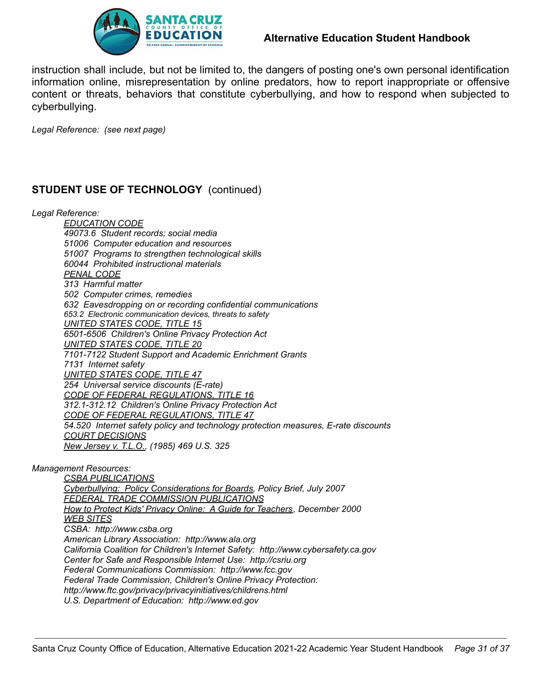

#### **Alternative Education Student Handbook**

instruction shall include, but not be limited to, the dangers of posting one's own personal identification information online, misrepresentation by online predators, how to report inappropriate or offensive content or threats, behaviors that constitute cyberbullying, and how to respond when subjected to cyberbullying.

*Legal Reference: (see next page)*

#### **STUDENT USE OF TECHNOLOGY** (continued)

*Legal Reference:*

*EDUCATION CODE 49073.6 Student records; social media 51006 Computer education and resources 51007 Programs to strengthen technological skills 60044 Prohibited instructional materials PENAL CODE 313 Harmful matter 502 Computer crimes, remedies 632 Eavesdropping on or recording confidential communications 653.2 Electronic communication devices, threats to safety UNITED STATES CODE, TITLE 15 6501-6506 Children's Online Privacy Protection Act UNITED STATES CODE, TITLE 20 7101-7122 Student Support and Academic Enrichment Grants 7131 Internet safety UNITED STATES CODE, TITLE 47 254 Universal service discounts (E-rate) CODE OF FEDERAL REGULATIONS, TITLE 16 312.1-312.12 Children's Online Privacy Protection Act CODE OF FEDERAL REGULATIONS, TITLE 47 54.520 Internet safety policy and technology protection measures, E-rate discounts COURT DECISIONS New Jersey v. T.L.O., (1985) 469 U.S. 325*

*Management Resources:*

*CSBA PUBLICATIONS Cyberbullying: Policy Considerations for Boards, Policy Brief, July 2007 FEDERAL TRADE COMMISSION PUBLICATIONS How to Protect Kids' Privacy Online: A Guide for Teachers, December 2000 WEB SITES CSBA: http://www.csba.org American Library Association: http://www.ala.org California Coalition for Children's Internet Safety: http://www.cybersafety.ca.gov Center for Safe and Responsible Internet Use: http://csriu.org Federal Communications Commission: http://www.fcc.gov Federal Trade Commission, Children's Online Privacy Protection: http://www.ftc.gov/privacy/privacyinitiatives/childrens.html U.S. Department of Education: http://www.ed.gov*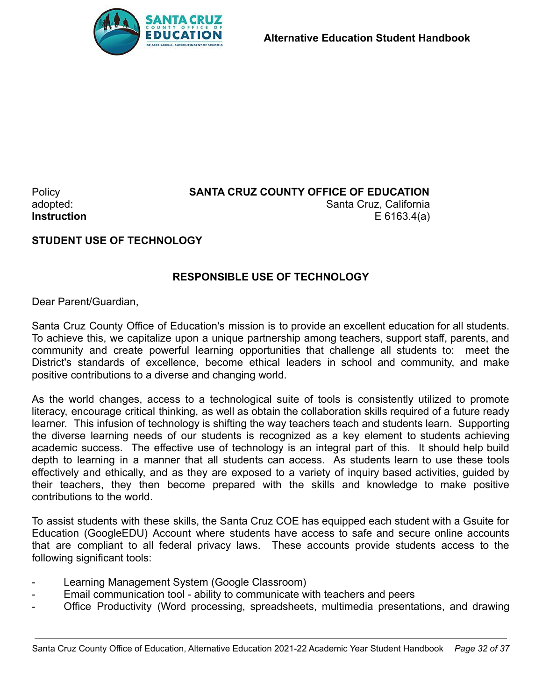

#### Policy **SANTA CRUZ COUNTY OFFICE OF EDUCATION** adopted: Santa Cruz, California **Instruction** E 6163.4(a)

## **STUDENT USE OF TECHNOLOGY**

## **RESPONSIBLE USE OF TECHNOLOGY**

Dear Parent/Guardian,

Santa Cruz County Office of Education's mission is to provide an excellent education for all students. To achieve this, we capitalize upon a unique partnership among teachers, support staff, parents, and community and create powerful learning opportunities that challenge all students to: meet the District's standards of excellence, become ethical leaders in school and community, and make positive contributions to a diverse and changing world.

As the world changes, access to a technological suite of tools is consistently utilized to promote literacy, encourage critical thinking, as well as obtain the collaboration skills required of a future ready learner. This infusion of technology is shifting the way teachers teach and students learn. Supporting the diverse learning needs of our students is recognized as a key element to students achieving academic success. The effective use of technology is an integral part of this. It should help build depth to learning in a manner that all students can access. As students learn to use these tools effectively and ethically, and as they are exposed to a variety of inquiry based activities, guided by their teachers, they then become prepared with the skills and knowledge to make positive contributions to the world.

To assist students with these skills, the Santa Cruz COE has equipped each student with a Gsuite for Education (GoogleEDU) Account where students have access to safe and secure online accounts that are compliant to all federal privacy laws. These accounts provide students access to the following significant tools:

- Learning Management System (Google Classroom)
- Email communication tool ability to communicate with teachers and peers
- Office Productivity (Word processing, spreadsheets, multimedia presentations, and drawing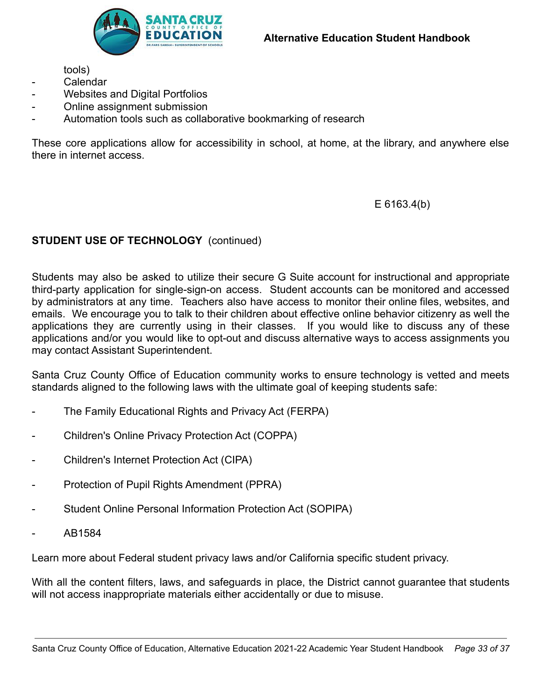tools)

- Calendar
- Websites and Digital Portfolios
- Online assignment submission
- Automation tools such as collaborative bookmarking of research

These core applications allow for accessibility in school, at home, at the library, and anywhere else there in internet access.

E 6163.4(b)

#### **STUDENT USE OF TECHNOLOGY** (continued)

Students may also be asked to utilize their secure G Suite account for instructional and appropriate third-party application for single-sign-on access. Student accounts can be monitored and accessed by administrators at any time. Teachers also have access to monitor their online files, websites, and emails. We encourage you to talk to their children about effective online behavior citizenry as well the applications they are currently using in their classes. If you would like to discuss any of these applications and/or you would like to opt-out and discuss alternative ways to access assignments you may contact Assistant Superintendent.

Santa Cruz County Office of Education community works to ensure technology is vetted and meets standards aligned to the following laws with the ultimate goal of keeping students safe:

- The Family Educational Rights and Privacy Act (FERPA)
- Children's Online Privacy Protection Act (COPPA)
- Children's Internet Protection Act (CIPA)
- Protection of Pupil Rights Amendment (PPRA)
- Student Online Personal Information Protection Act (SOPIPA)
- AB1584

Learn more about Federal student privacy laws and/or California specific student privacy.

With all the content filters, laws, and safeguards in place, the District cannot guarantee that students will not access inappropriate materials either accidentally or due to misuse.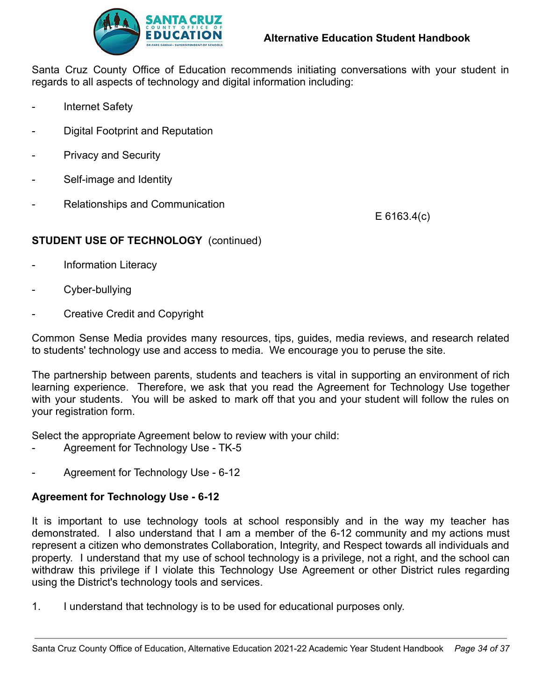

Santa Cruz County Office of Education recommends initiating conversations with your student in regards to all aspects of technology and digital information including:

- Internet Safety
- Digital Footprint and Reputation
- Privacy and Security
- Self-image and Identity
- Relationships and Communication

E 6163.4(c)

#### **STUDENT USE OF TECHNOLOGY** (continued)

- Information Literacy
- Cyber-bullying
- Creative Credit and Copyright

Common Sense Media provides many resources, tips, guides, media reviews, and research related to students' technology use and access to media. We encourage you to peruse the site.

The partnership between parents, students and teachers is vital in supporting an environment of rich learning experience. Therefore, we ask that you read the Agreement for Technology Use together with your students. You will be asked to mark off that you and your student will follow the rules on your registration form.

Select the appropriate Agreement below to review with your child:

- Agreement for Technology Use TK-5
- Agreement for Technology Use 6-12

#### **Agreement for Technology Use - 6-12**

It is important to use technology tools at school responsibly and in the way my teacher has demonstrated. I also understand that I am a member of the 6-12 community and my actions must represent a citizen who demonstrates Collaboration, Integrity, and Respect towards all individuals and property. I understand that my use of school technology is a privilege, not a right, and the school can withdraw this privilege if I violate this Technology Use Agreement or other District rules regarding using the District's technology tools and services.

1. I understand that technology is to be used for educational purposes only.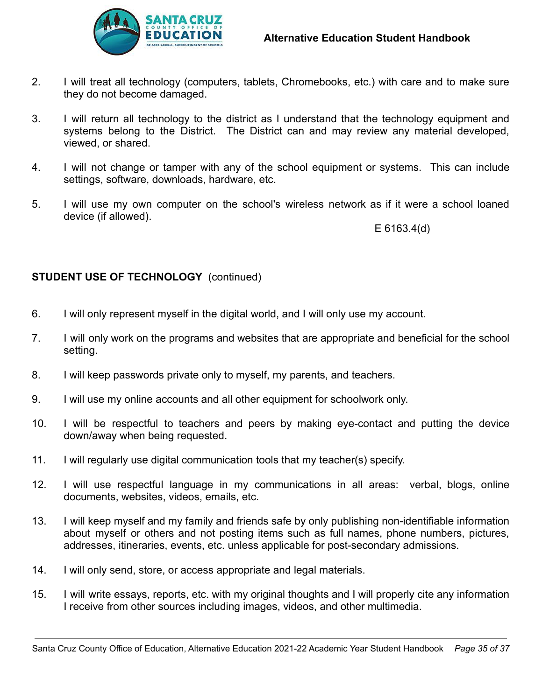

- 2. I will treat all technology (computers, tablets, Chromebooks, etc.) with care and to make sure they do not become damaged.
- 3. I will return all technology to the district as I understand that the technology equipment and systems belong to the District. The District can and may review any material developed, viewed, or shared.
- 4. I will not change or tamper with any of the school equipment or systems. This can include settings, software, downloads, hardware, etc.
- 5. I will use my own computer on the school's wireless network as if it were a school loaned device (if allowed).

E 6163.4(d)

#### **STUDENT USE OF TECHNOLOGY** (continued)

- 6. I will only represent myself in the digital world, and I will only use my account.
- 7. I will only work on the programs and websites that are appropriate and beneficial for the school setting.
- 8. I will keep passwords private only to myself, my parents, and teachers.
- 9. I will use my online accounts and all other equipment for schoolwork only.
- 10. I will be respectful to teachers and peers by making eye-contact and putting the device down/away when being requested.
- 11. I will regularly use digital communication tools that my teacher(s) specify.
- 12. I will use respectful language in my communications in all areas: verbal, blogs, online documents, websites, videos, emails, etc.
- 13. I will keep myself and my family and friends safe by only publishing non-identifiable information about myself or others and not posting items such as full names, phone numbers, pictures, addresses, itineraries, events, etc. unless applicable for post-secondary admissions.
- 14. I will only send, store, or access appropriate and legal materials.
- 15. I will write essays, reports, etc. with my original thoughts and I will properly cite any information I receive from other sources including images, videos, and other multimedia.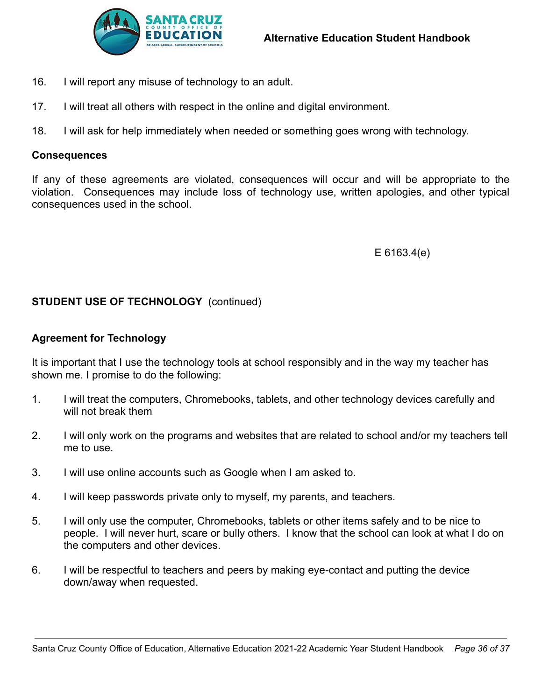

- 16. I will report any misuse of technology to an adult.
- 17. I will treat all others with respect in the online and digital environment.
- 18. I will ask for help immediately when needed or something goes wrong with technology.

#### **Consequences**

If any of these agreements are violated, consequences will occur and will be appropriate to the violation. Consequences may include loss of technology use, written apologies, and other typical consequences used in the school.

E 6163.4(e)

#### **STUDENT USE OF TECHNOLOGY** (continued)

#### **Agreement for Technology**

It is important that I use the technology tools at school responsibly and in the way my teacher has shown me. I promise to do the following:

- 1. I will treat the computers, Chromebooks, tablets, and other technology devices carefully and will not break them
- 2. I will only work on the programs and websites that are related to school and/or my teachers tell me to use.
- 3. I will use online accounts such as Google when I am asked to.
- 4. I will keep passwords private only to myself, my parents, and teachers.
- 5. I will only use the computer, Chromebooks, tablets or other items safely and to be nice to people. I will never hurt, scare or bully others. I know that the school can look at what I do on the computers and other devices.
- 6. I will be respectful to teachers and peers by making eye-contact and putting the device down/away when requested.